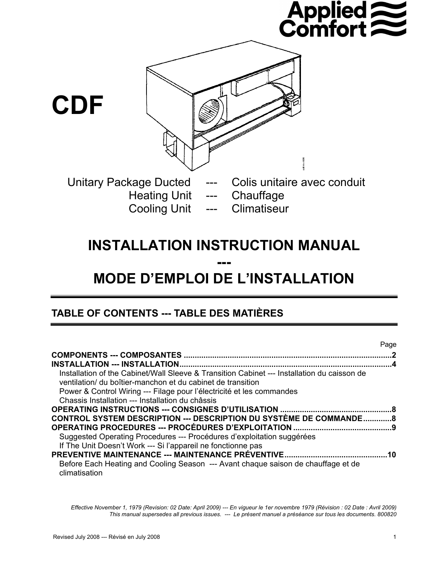# **Applied<br>Comfort**



## **INSTALLATION INSTRUCTION MANUAL ---**

# **MODE D'EMPLOI DE L'INSTALLATION**

## **TABLE OF CONTENTS --- TABLE DES MATIÈRES**

|                                                                                                                                                            | Page      |
|------------------------------------------------------------------------------------------------------------------------------------------------------------|-----------|
|                                                                                                                                                            |           |
|                                                                                                                                                            |           |
| Installation of the Cabinet/Wall Sleeve & Transition Cabinet --- Installation du caisson de<br>ventilation/ du boîtier-manchon et du cabinet de transition |           |
| Power & Control Wiring --- Filage pour l'électricité et les commandes                                                                                      |           |
| Chassis Installation --- Installation du châssis                                                                                                           |           |
|                                                                                                                                                            |           |
| <b>CONTROL SYSTEM DESCRIPTION --- DESCRIPTION DU SYSTÈME DE COMMANDE8</b>                                                                                  |           |
|                                                                                                                                                            |           |
| Suggested Operating Procedures --- Procédures d'exploitation suggérées                                                                                     |           |
| If The Unit Doesn't Work --- Si l'appareil ne fonctionne pas                                                                                               |           |
|                                                                                                                                                            | <b>10</b> |
| Before Each Heating and Cooling Season --- Avant chaque saison de chauffage et de<br>climatisation                                                         |           |

*Effective November 1, 1979 (Revision: 02 Date: April 2009) --- En vigueur le 1er novembre 1979 (Révision : 02 Date : Avril 2009) This manual supersedes all previous issues. --- Le présent manuel a préséance sur tous les documents. 800820*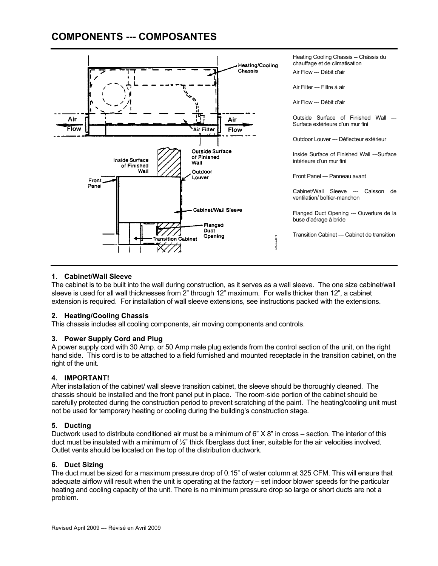## **COMPONENTS --- COMPOSANTES**



## **1. Cabinet/Wall Sleeve**

The cabinet is to be built into the wall during construction, as it serves as a wall sleeve. The one size cabinet/wall sleeve is used for all wall thicknesses from 2" through 12" maximum. For walls thicker than 12", a cabinet extension is required. For installation of wall sleeve extensions, see instructions packed with the extensions.

## **2. Heating/Cooling Chassis**

This chassis includes all cooling components, air moving components and controls.

## **3. Power Supply Cord and Plug**

A power supply cord with 30 Amp. or 50 Amp male plug extends from the control section of the unit, on the right hand side. This cord is to be attached to a field furnished and mounted receptacle in the transition cabinet, on the right of the unit.

## **4. IMPORTANT!**

After installation of the cabinet/ wall sleeve transition cabinet, the sleeve should be thoroughly cleaned. The chassis should be installed and the front panel put in place. The room-side portion of the cabinet should be carefully protected during the construction period to prevent scratching of the paint. The heating/cooling unit must not be used for temporary heating or cooling during the building's construction stage.

## **5. Ducting**

Ductwork used to distribute conditioned air must be a minimum of 6" X 8" in cross – section. The interior of this duct must be insulated with a minimum of ½" thick fiberglass duct liner, suitable for the air velocities involved. Outlet vents should be located on the top of the distribution ductwork.

## **6. Duct Sizing**

The duct must be sized for a maximum pressure drop of 0.15" of water column at 325 CFM. This will ensure that adequate airflow will result when the unit is operating at the factory – set indoor blower speeds for the particular heating and cooling capacity of the unit. There is no minimum pressure drop so large or short ducts are not a problem.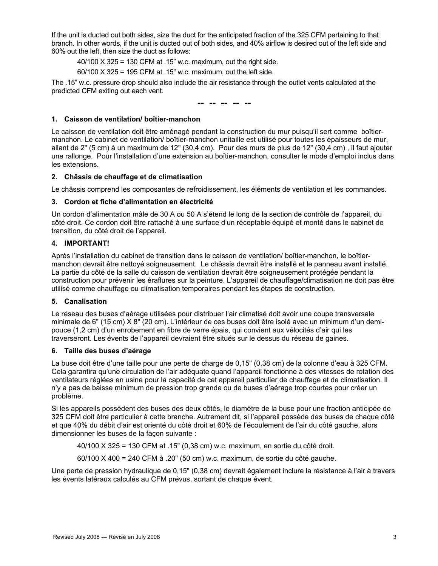If the unit is ducted out both sides, size the duct for the anticipated fraction of the 325 CFM pertaining to that branch. In other words, if the unit is ducted out of both sides, and 40% airflow is desired out of the left side and 60% out the left, then size the duct as follows:

40/100 X 325 = 130 CFM at .15" w.c. maximum, out the right side.

60/100 X 325 = 195 CFM at .15" w.c. maximum, out the left side.

The .15" w.c. pressure drop should also include the air resistance through the outlet vents calculated at the predicted CFM exiting out each vent.

**-- -- -- -- --** 

## **1. Caisson de ventilation/ boîtier-manchon**

Le caisson de ventilation doit être aménagé pendant la construction du mur puisqu'il sert comme boîtiermanchon. Le cabinet de ventilation/ boîtier-manchon unitaille est utilisé pour toutes les épaisseurs de mur, allant de 2" (5 cm) à un maximum de 12" (30,4 cm). Pour des murs de plus de 12" (30,4 cm) , il faut ajouter une rallonge. Pour l'installation d'une extension au boîtier-manchon, consulter le mode d'emploi inclus dans les extensions.

## **2. Châssis de chauffage et de climatisation**

Le châssis comprend les composantes de refroidissement, les éléments de ventilation et les commandes.

## **3. Cordon et fiche d'alimentation en électricité**

Un cordon d'alimentation mâle de 30 A ou 50 A s'étend le long de la section de contrôle de l'appareil, du côté droit. Ce cordon doit être rattaché à une surface d'un réceptable équipé et monté dans le cabinet de transition, du côté droit de l'appareil.

## **4. IMPORTANT!**

Après l'installation du cabinet de transition dans le caisson de ventilation/ boîtier-manchon, le boîtiermanchon devrait être nettoyé soigneusement. Le châssis devrait être installé et le panneau avant installé. La partie du côté de la salle du caisson de ventilation devrait être soigneusement protégée pendant la construction pour prévenir les éraflures sur la peinture. L'appareil de chauffage/climatisation ne doit pas être utilisé comme chauffage ou climatisation temporaires pendant les étapes de construction.

## **5. Canalisation**

Le réseau des buses d'aérage utilisées pour distribuer l'air climatisé doit avoir une coupe transversale minimale de 6" (15 cm) X 8" (20 cm). L'intérieur de ces buses doit être isolé avec un minimum d'un demipouce (1,2 cm) d'un enrobement en fibre de verre épais, qui convient aux vélocités d'air qui les traverseront. Les évents de l'appareil devraient être situés sur le dessus du réseau de gaines.

## **6. Taille des buses d'aérage**

La buse doit être d'une taille pour une perte de charge de 0,15" (0,38 cm) de la colonne d'eau à 325 CFM. Cela garantira qu'une circulation de l'air adéquate quand l'appareil fonctionne à des vitesses de rotation des ventilateurs réglées en usine pour la capacité de cet appareil particulier de chauffage et de climatisation. Il n'y a pas de baisse minimum de pression trop grande ou de buses d'aérage trop courtes pour créer un problème.

Si les appareils possèdent des buses des deux côtés, le diamètre de la buse pour une fraction anticipée de 325 CFM doit être particulier à cette branche. Autrement dit, si l'appareil possède des buses de chaque côté et que 40% du débit d'air est orienté du côté droit et 60% de l'écoulement de l'air du côté gauche, alors dimensionner les buses de la façon suivante :

40/100 X 325 = 130 CFM at .15" (0,38 cm) w.c. maximum, en sortie du côté droit.

60/100 X 400 = 240 CFM à .20" (50 cm) w.c. maximum, de sortie du côté gauche.

Une perte de pression hydraulique de 0,15" (0,38 cm) devrait également inclure la résistance à l'air à travers les évents latéraux calculés au CFM prévus, sortant de chaque évent.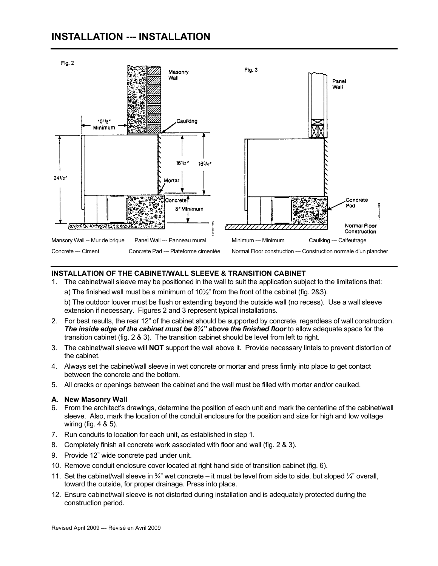## **INSTALLATION --- INSTALLATION**



## **INSTALLATION OF THE CABINET/WALL SLEEVE & TRANSITION CABINET**

1. The cabinet/wall sleeve may be positioned in the wall to suit the application subject to the limitations that: a) The finished wall must be a minimum of 10½" from the front of the cabinet (fig. 2&3).

b) The outdoor louver must be flush or extending beyond the outside wall (no recess). Use a wall sleeve extension if necessary. Figures 2 and 3 represent typical installations.

- 2. For best results, the rear 12" of the cabinet should be supported by concrete, regardless of wall construction. *The inside edge of the cabinet must be 8¼" above the finished floor* to allow adequate space for the transition cabinet (fig. 2 & 3). The transition cabinet should be level from left to right.
- 3. The cabinet/wall sleeve will **NOT** support the wall above it. Provide necessary lintels to prevent distortion of the cabinet.
- 4. Always set the cabinet/wall sleeve in wet concrete or mortar and press firmly into place to get contact between the concrete and the bottom.
- 5. All cracks or openings between the cabinet and the wall must be filled with mortar and/or caulked.

## **A. New Masonry Wall**

- 6. From the architect's drawings, determine the position of each unit and mark the centerline of the cabinet/wall sleeve. Also, mark the location of the conduit enclosure for the position and size for high and low voltage wiring (fig. 4 & 5).
- 7. Run conduits to location for each unit, as established in step 1.
- 8. Completely finish all concrete work associated with floor and wall (fig. 2 & 3).
- 9. Provide 12" wide concrete pad under unit.
- 10. Remove conduit enclosure cover located at right hand side of transition cabinet (fig. 6).
- 11. Set the cabinet/wall sleeve in  $\frac{3}{4}$ " wet concrete it must be level from side to side, but sloped  $\frac{1}{4}$ " overall, toward the outside, for proper drainage. Press into place.
- 12. Ensure cabinet/wall sleeve is not distorted during installation and is adequately protected during the construction period.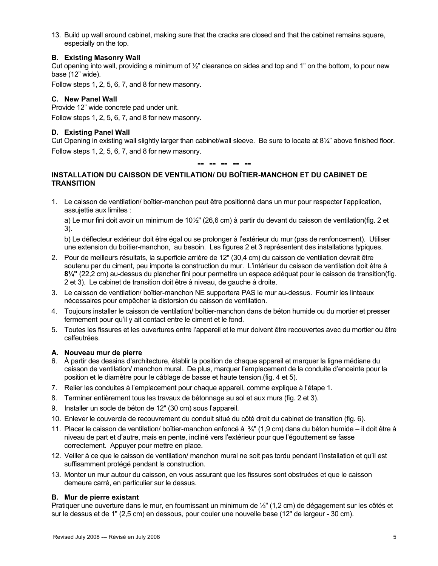13. Build up wall around cabinet, making sure that the cracks are closed and that the cabinet remains square, especially on the top.

## **B. Existing Masonry Wall**

Cut opening into wall, providing a minimum of  $\frac{1}{2}$ " clearance on sides and top and 1" on the bottom, to pour new base (12" wide).

Follow steps 1, 2, 5, 6, 7, and 8 for new masonry.

## **C. New Panel Wall**

Provide 12" wide concrete pad under unit.

Follow steps 1, 2, 5, 6, 7, and 8 for new masonry.

## **D. Existing Panel Wall**

Cut Opening in existing wall slightly larger than cabinet/wall sleeve. Be sure to locate at 8¼" above finished floor. Follow steps 1, 2, 5, 6, 7, and 8 for new masonry.

**-- -- -- -- --** 

## **INSTALLATION DU CAISSON DE VENTILATION/ DU BOÎTIER-MANCHON ET DU CABINET DE TRANSITION**

1. Le caisson de ventilation/ boîtier-manchon peut être positionné dans un mur pour respecter l'application, assujettie aux limites :

a) Le mur fini doit avoir un minimum de 10½" (26,6 cm) à partir du devant du caisson de ventilation(fig. 2 et 3).

b) Le déflecteur extérieur doit être égal ou se prolonger à l'extérieur du mur (pas de renfoncement). Utiliser une extension du boîtier-manchon, au besoin. Les figures 2 et 3 représentent des installations typiques.

- 2. Pour de meilleurs résultats, la superficie arrière de 12" (30,4 cm) du caisson de ventilation devrait être soutenu par du ciment, peu importe la construction du mur. L'intérieur du caisson de ventilation doit être à **8¼"** (22,2 cm) au-dessus du plancher fini pour permettre un espace adéquat pour le caisson de transition(fig. 2 et 3). Le cabinet de transition doit être à niveau, de gauche à droite.
- 3. Le caisson de ventilation/ boîtier-manchon NE supportera PAS le mur au-dessus. Fournir les linteaux nécessaires pour empêcher la distorsion du caisson de ventilation.
- 4. Toujours installer le caisson de ventilation/ boîtier-manchon dans de béton humide ou du mortier et presser fermement pour qu'il y ait contact entre le ciment et le fond.
- 5. Toutes les fissures et les ouvertures entre l'appareil et le mur doivent être recouvertes avec du mortier ou être calfeutrées.

## **A. Nouveau mur de pierre**

- 6. À partir des dessins d'architecture, établir la position de chaque appareil et marquer la ligne médiane du caisson de ventilation/ manchon mural. De plus, marquer l'emplacement de la conduite d'enceinte pour la position et le diamètre pour le câblage de basse et haute tension.(fig. 4 et 5).
- 7. Relier les conduites à l'emplacement pour chaque appareil, comme explique à l'étape 1.
- 8. Terminer entièrement tous les travaux de bétonnage au sol et aux murs (fig. 2 et 3).
- 9. Installer un socle de béton de 12" (30 cm) sous l'appareil.
- 10. Enlever le couvercle de recouvrement du conduit situé du côté droit du cabinet de transition (fig. 6).
- 11. Placer le caisson de ventilation/ boîtier-manchon enfoncé à  $\frac{3}{4}$ " (1,9 cm) dans du béton humide il doit être à niveau de part et d'autre, mais en pente, incliné vers l'extérieur pour que l'égouttement se fasse correctement. Appuyer pour mettre en place.
- 12. Veiller à ce que le caisson de ventilation/ manchon mural ne soit pas tordu pendant l'installation et qu'il est suffisamment protégé pendant la construction.
- 13. Monter un mur autour du caisson, en vous assurant que les fissures sont obstruées et que le caisson demeure carré, en particulier sur le dessus.

## **B. Mur de pierre existant**

Pratiquer une ouverture dans le mur, en fournissant un minimum de ½" (1,2 cm) de dégagement sur les côtés et sur le dessus et de 1" (2,5 cm) en dessous, pour couler une nouvelle base (12" de largeur - 30 cm).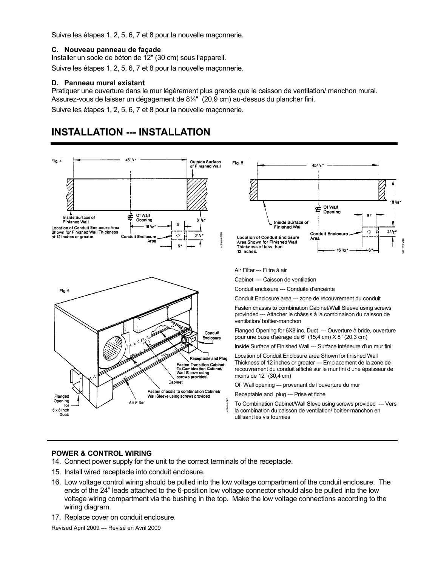Suivre les étapes 1, 2, 5, 6, 7 et 8 pour la nouvelle maçonnerie.

## **C. Nouveau panneau de façade**

Installer un socle de béton de 12" (30 cm) sous l'appareil.

Suivre les étapes 1, 2, 5, 6, 7 et 8 pour la nouvelle maçonnerie.

## **D. Panneau mural existant**

Pratiquer une ouverture dans le mur légèrement plus grande que le caisson de ventilation/ manchon mural. Assurez-vous de laisser un dégagement de 8¼" (20,9 cm) au-dessus du plancher fini. Suivre les étapes 1, 2, 5, 6, 7 et 8 pour la nouvelle maçonnerie.

## **INSTALLATION --- INSTALLATION**



## **POWER & CONTROL WIRING**

- 14. Connect power supply for the unit to the correct terminals of the receptacle.
- 15. Install wired receptacle into conduit enclosure.
- 16. Low voltage control wiring should be pulled into the low voltage compartment of the conduit enclosure. The ends of the 24" leads attached to the 6-position low voltage connector should also be pulled into the low voltage wiring compartment via the bushing in the top. Make the low voltage connections according to the wiring diagram.
- 17. Replace cover on conduit enclosure.

Revised April 2009 --- Révisé en Avril 2009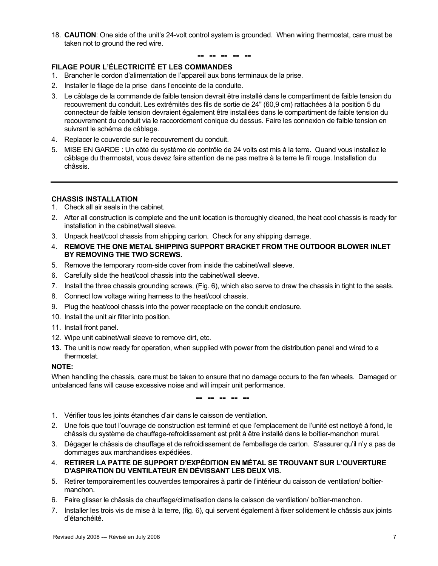18. **CAUTION**: One side of the unit's 24-volt control system is grounded. When wiring thermostat, care must be taken not to ground the red wire.

## **-- -- -- -- --**

## **FILAGE POUR L'ÉLECTRICITÉ ET LES COMMANDES**

- 1. Brancher le cordon d'alimentation de l'appareil aux bons terminaux de la prise.
- 2. Installer le filage de la prise dans l'enceinte de la conduite.
- 3. Le câblage de la commande de faible tension devrait être installé dans le compartiment de faible tension du recouvrement du conduit. Les extrémités des fils de sortie de 24" (60,9 cm) rattachées à la position 5 du connecteur de faible tension devraient également être installées dans le compartiment de faible tension du recouvrement du conduit via le raccordement conique du dessus. Faire les connexion de faible tension en suivrant le schéma de câblage.
- 4. Replacer le couvercle sur le recouvrement du conduit.
- 5. MISE EN GARDE : Un côté du système de contrôle de 24 volts est mis à la terre. Quand vous installez le câblage du thermostat, vous devez faire attention de ne pas mettre à la terre le fil rouge. Installation du châssis.

## **CHASSIS INSTALLATION**

- 1. Check all air seals in the cabinet.
- 2. After all construction is complete and the unit location is thoroughly cleaned, the heat cool chassis is ready for installation in the cabinet/wall sleeve.
- 3. Unpack heat/cool chassis from shipping carton. Check for any shipping damage.
- 4. **REMOVE THE ONE METAL SHIPPING SUPPORT BRACKET FROM THE OUTDOOR BLOWER INLET BY REMOVING THE TWO SCREWS.**
- 5. Remove the temporary room-side cover from inside the cabinet/wall sleeve.
- 6. Carefully slide the heat/cool chassis into the cabinet/wall sleeve.
- 7. Install the three chassis grounding screws, (Fig. 6), which also serve to draw the chassis in tight to the seals.
- 8. Connect low voltage wiring harness to the heat/cool chassis.
- 9. Plug the heat/cool chassis into the power receptacle on the conduit enclosure.
- 10. Install the unit air filter into position.
- 11. Install front panel.
- 12. Wipe unit cabinet/wall sleeve to remove dirt, etc.
- **13.** The unit is now ready for operation, when supplied with power from the distribution panel and wired to a thermostat.

## **NOTE:**

When handling the chassis, care must be taken to ensure that no damage occurs to the fan wheels. Damaged or unbalanced fans will cause excessive noise and will impair unit performance.

**-- -- -- -- --** 

- 1. Vérifier tous les joints étanches d'air dans le caisson de ventilation.
- 2. Une fois que tout l'ouvrage de construction est terminé et que l'emplacement de l'unité est nettoyé à fond, le châssis du système de chauffage-refroidissement est prêt à être installé dans le boîtier-manchon mural.
- 3. Dégager le châssis de chauffage et de refroidissement de l'emballage de carton. S'assurer qu'il n'y a pas de dommages aux marchandises expédiées.
- 4. **RETIRER LA PATTE DE SUPPORT D'EXPÉDITION EN MÉTAL SE TROUVANT SUR L'OUVERTURE D'ASPIRATION DU VENTILATEUR EN DÉVISSANT LES DEUX VIS.**
- 5. Retirer temporairement les couvercles temporaires à partir de l'intérieur du caisson de ventilation/ boîtiermanchon.
- 6. Faire glisser le châssis de chauffage/climatisation dans le caisson de ventilation/ boîtier-manchon.
- 7. Installer les trois vis de mise à la terre, (fig. 6), qui servent également à fixer solidement le châssis aux joints d'étanchéité.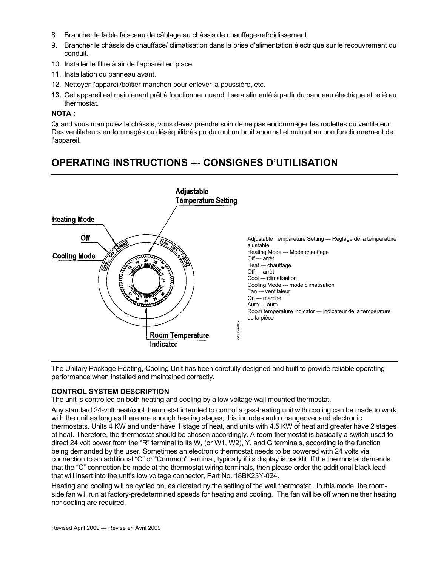- 8. Brancher le faible faisceau de câblage au châssis de chauffage-refroidissement.
- 9. Brancher le châssis de chaufface/ climatisation dans la prise d'alimentation électrique sur le recouvrement du conduit.
- 10. Installer le filtre à air de l'appareil en place.
- 11. Installation du panneau avant.
- 12. Nettoyer l'appareil/boîtier-manchon pour enlever la poussière, etc.
- **13.** Cet appareil est maintenant prêt à fonctionner quand il sera alimenté à partir du panneau électrique et relié au thermostat.

## **NOTA :**

Quand vous manipulez le châssis, vous devez prendre soin de ne pas endommager les roulettes du ventilateur. Des ventilateurs endommagés ou déséquilibrés produiront un bruit anormal et nuiront au bon fonctionnement de l'appareil.

## **OPERATING INSTRUCTIONS --- CONSIGNES D'UTILISATION**



The Unitary Package Heating, Cooling Unit has been carefully designed and built to provide reliable operating performance when installed and maintained correctly.

## **CONTROL SYSTEM DESCRIPTION**

The unit is controlled on both heating and cooling by a low voltage wall mounted thermostat.

Any standard 24-volt heat/cool thermostat intended to control a gas-heating unit with cooling can be made to work with the unit as long as there are enough heating stages; this includes auto changeover and electronic thermostats. Units 4 KW and under have 1 stage of heat, and units with 4.5 KW of heat and greater have 2 stages of heat. Therefore, the thermostat should be chosen accordingly. A room thermostat is basically a switch used to direct 24 volt power from the "R" terminal to its W, (or W1, W2), Y, and G terminals, according to the function being demanded by the user. Sometimes an electronic thermostat needs to be powered with 24 volts via connection to an additional "C" or "Common" terminal, typically if its display is backlit. If the thermostat demands that the "C" connection be made at the thermostat wiring terminals, then please order the additional black lead that will insert into the unit's low voltage connector, Part No. 18BK23Y-024.

Heating and cooling will be cycled on, as dictated by the setting of the wall thermostat. In this mode, the roomside fan will run at factory-predetermined speeds for heating and cooling. The fan will be off when neither heating nor cooling are required.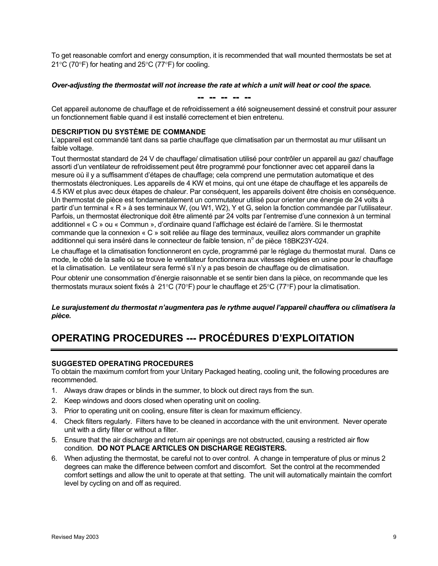To get reasonable comfort and energy consumption, it is recommended that wall mounted thermostats be set at 21°C (70°F) for heating and 25°C (77°F) for cooling.

## *Over-adjusting the thermostat will not increase the rate at which a unit will heat or cool the space.*

**-- -- -- -- --** 

Cet appareil autonome de chauffage et de refroidissement a été soigneusement dessiné et construit pour assurer un fonctionnement fiable quand il est installé correctement et bien entretenu.

## **DESCRIPTION DU SYSTÈME DE COMMANDE**

L'appareil est commandé tant dans sa partie chauffage que climatisation par un thermostat au mur utilisant un faible voltage.

Tout thermostat standard de 24 V de chauffage/ climatisation utilisé pour contrôler un appareil au gaz/ chauffage assorti d'un ventilateur de refroidissement peut être programmé pour fonctionner avec cet appareil dans la mesure où il y a suffisamment d'étapes de chauffage; cela comprend une permutation automatique et des thermostats électroniques. Les appareils de 4 KW et moins, qui ont une étape de chauffage et les appareils de 4.5 KW et plus avec deux étapes de chaleur. Par conséquent, les appareils doivent être choisis en conséquence. Un thermostat de pièce est fondamentalement un commutateur utilisé pour orienter une énergie de 24 volts à partir d'un terminal « R » à ses terminaux W, (ou W1, W2), Y et G, selon la fonction commandée par l'utilisateur. Parfois, un thermostat électronique doit être alimenté par 24 volts par l'entremise d'une connexion à un terminal additionnel « C » ou « Commun », d'ordinaire quand l'affichage est éclairé de l'arrière. Si le thermostat commande que la connexion « C » soit reliée au filage des terminaux, veuillez alors commander un graphite additionnel qui sera inséré dans le connecteur de faible tension, n° de pièce 18BK23Y-024.

Le chauffage et la climatisation fonctionneront en cycle, programmé par le réglage du thermostat mural. Dans ce mode, le côté de la salle où se trouve le ventilateur fonctionnera aux vitesses réglées en usine pour le chauffage et la climatisation. Le ventilateur sera fermé s'il n'y a pas besoin de chauffage ou de climatisation.

Pour obtenir une consommation d'énergie raisonnable et se sentir bien dans la pièce, on recommande que les thermostats muraux soient fixés à 21°C (70°F) pour le chauffage et 25°C (77°F) pour la climatisation.

## *Le surajustement du thermostat n'augmentera pas le rythme auquel l'appareil chauffera ou climatisera la pièce.*

## **OPERATING PROCEDURES --- PROCÉDURES D'EXPLOITATION**

## **SUGGESTED OPERATING PROCEDURES**

To obtain the maximum comfort from your Unitary Packaged heating, cooling unit, the following procedures are recommended.

- 1. Always draw drapes or blinds in the summer, to block out direct rays from the sun.
- 2. Keep windows and doors closed when operating unit on cooling.
- 3. Prior to operating unit on cooling, ensure filter is clean for maximum efficiency.
- 4. Check filters regularly. Filters have to be cleaned in accordance with the unit environment. Never operate unit with a dirty filter or without a filter.
- 5. Ensure that the air discharge and return air openings are not obstructed, causing a restricted air flow condition. **DO NOT PLACE ARTICLES ON DISCHARGE REGISTERS.**
- 6. When adjusting the thermostat, be careful not to over control. A change in temperature of plus or minus 2 degrees can make the difference between comfort and discomfort. Set the control at the recommended comfort settings and allow the unit to operate at that setting. The unit will automatically maintain the comfort level by cycling on and off as required.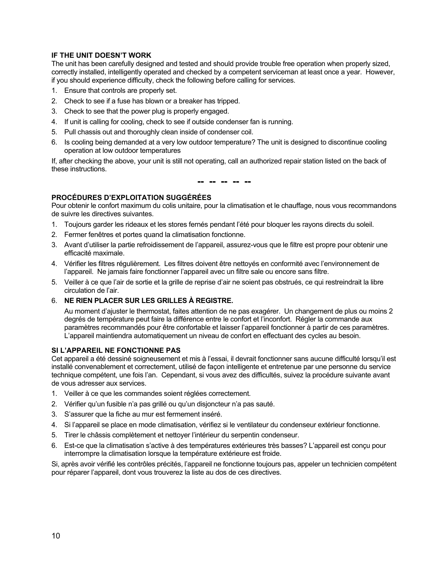## **IF THE UNIT DOESN'T WORK**

The unit has been carefully designed and tested and should provide trouble free operation when properly sized, correctly installed, intelligently operated and checked by a competent serviceman at least once a year. However, if you should experience difficulty, check the following before calling for services.

- 1. Ensure that controls are properly set.
- 2. Check to see if a fuse has blown or a breaker has tripped.
- 3. Check to see that the power plug is properly engaged.
- 4. If unit is calling for cooling, check to see if outside condenser fan is running.
- 5. Pull chassis out and thoroughly clean inside of condenser coil.
- 6. Is cooling being demanded at a very low outdoor temperature? The unit is designed to discontinue cooling operation at low outdoor temperatures

If, after checking the above, your unit is still not operating, call an authorized repair station listed on the back of these instructions.

**-- -- -- -- --** 

## **PROCÉDURES D'EXPLOITATION SUGGÉRÉES**

Pour obtenir le confort maximum du colis unitaire, pour la climatisation et le chauffage, nous vous recommandons de suivre les directives suivantes.

- 1. Toujours garder les rideaux et les stores fernés pendant l'été pour bloquer les rayons directs du soleil.
- 2. Fermer fenêtres et portes quand la climatisation fonctionne.
- 3. Avant d'utiliser la partie refroidissement de l'appareil, assurez-vous que le filtre est propre pour obtenir une efficacité maximale.
- 4. Vérifier les filtres régulièrement. Les filtres doivent être nettoyés en conformité avec l'environnement de l'appareil. Ne jamais faire fonctionner l'appareil avec un filtre sale ou encore sans filtre.
- 5. Veiller à ce que l'air de sortie et la grille de reprise d'air ne soient pas obstrués, ce qui restreindrait la libre circulation de l'air.

## 6. **NE RIEN PLACER SUR LES GRILLES À REGISTRE.**

Au moment d'ajuster le thermostat, faites attention de ne pas exagérer. Un changement de plus ou moins 2 degrés de température peut faire la différence entre le confort et l'inconfort. Régler la commande aux paramètres recommandés pour être confortable et laisser l'appareil fonctionner à partir de ces paramètres. L'appareil maintiendra automatiquement un niveau de confort en effectuant des cycles au besoin.

## **SI L'APPAREIL NE FONCTIONNE PAS**

Cet appareil a été dessiné soigneusement et mis à l'essai, il devrait fonctionner sans aucune difficulté lorsqu'il est installé convenablement et correctement, utilisé de façon intelligente et entretenue par une personne du service technique compétent, une fois l'an. Cependant, si vous avez des difficultés, suivez la procédure suivante avant de vous adresser aux services.

- 1. Veiller à ce que les commandes soient réglées correctement.
- 2. Vérifier qu'un fusible n'a pas grillé ou qu'un disjoncteur n'a pas sauté.
- 3. S'assurer que la fiche au mur est fermement inséré.
- 4. Si l'appareil se place en mode climatisation, vérifiez si le ventilateur du condenseur extérieur fonctionne.
- 5. Tirer le châssis complètement et nettoyer l'intérieur du serpentin condenseur.
- 6. Est-ce que la climatisation s'active à des températures extérieures très basses? L'appareil est conçu pour interrompre la climatisation lorsque la température extérieure est froide.

Si, après avoir vérifié les contrôles précités, l'appareil ne fonctionne toujours pas, appeler un technicien compétent pour réparer l'appareil, dont vous trouverez la liste au dos de ces directives.